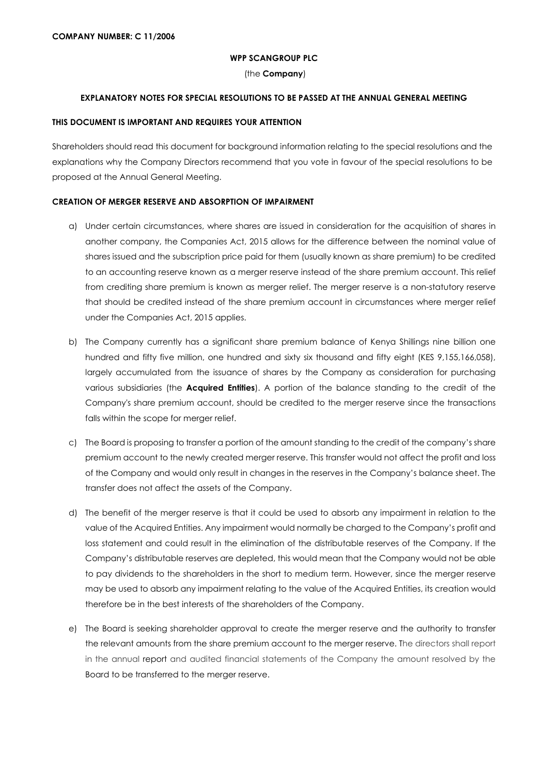#### **WPP SCANGROUP PLC**

(the **Company**)

### **EXPLANATORY NOTES FOR SPECIAL RESOLUTIONS TO BE PASSED AT THE ANNUAL GENERAL MEETING**

#### **THIS DOCUMENT IS IMPORTANT AND REQUIRES YOUR ATTENTION**

Shareholders should read this document for background information relating to the special resolutions and the explanations why the Company Directors recommend that you vote in favour of the special resolutions to be proposed at the Annual General Meeting.

### **CREATION OF MERGER RESERVE AND ABSORPTION OF IMPAIRMENT**

- a) Under certain circumstances, where shares are issued in consideration for the acquisition of shares in another company, the Companies Act, 2015 allows for the difference between the nominal value of shares issued and the subscription price paid for them (usually known as share premium) to be credited to an accounting reserve known as a merger reserve instead of the share premium account. This relief from crediting share premium is known as merger relief. The merger reserve is a non-statutory reserve that should be credited instead of the share premium account in circumstances where merger relief under the Companies Act, 2015 applies.
- b) The Company currently has a significant share premium balance of Kenya Shillings nine billion one hundred and fifty five million, one hundred and sixty six thousand and fifty eight (KES 9,155,166,058), largely accumulated from the issuance of shares by the Company as consideration for purchasing various subsidiaries (the **Acquired Entities**). A portion of the balance standing to the credit of the Company's share premium account, should be credited to the merger reserve since the transactions falls within the scope for merger relief.
- c) The Board is proposing to transfer a portion of the amount standing to the credit of the company's share premium account to the newly created merger reserve. This transfer would not affect the profit and loss of the Company and would only result in changes in the reserves in the Company's balance sheet. The transfer does not affect the assets of the Company.
- d) The benefit of the merger reserve is that it could be used to absorb any impairment in relation to the value of the Acquired Entities. Any impairment would normally be charged to the Company's profit and loss statement and could result in the elimination of the distributable reserves of the Company. If the Company's distributable reserves are depleted, this would mean that the Company would not be able to pay dividends to the shareholders in the short to medium term. However, since the merger reserve may be used to absorb any impairment relating to the value of the Acquired Entities, its creation would therefore be in the best interests of the shareholders of the Company.
- e) The Board is seeking shareholder approval to create the merger reserve and the authority to transfer the relevant amounts from the share premium account to the merger reserve. The directors shall report in the annual report and audited financial statements of the Company the amount resolved by the Board to be transferred to the merger reserve.